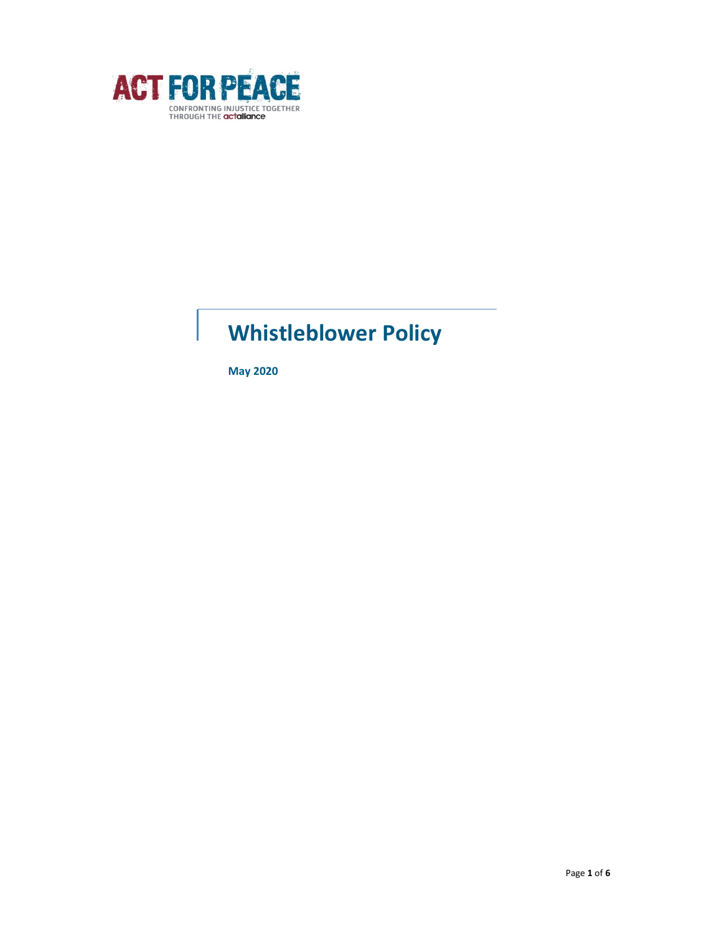

# Whistleblower Policy

May 2020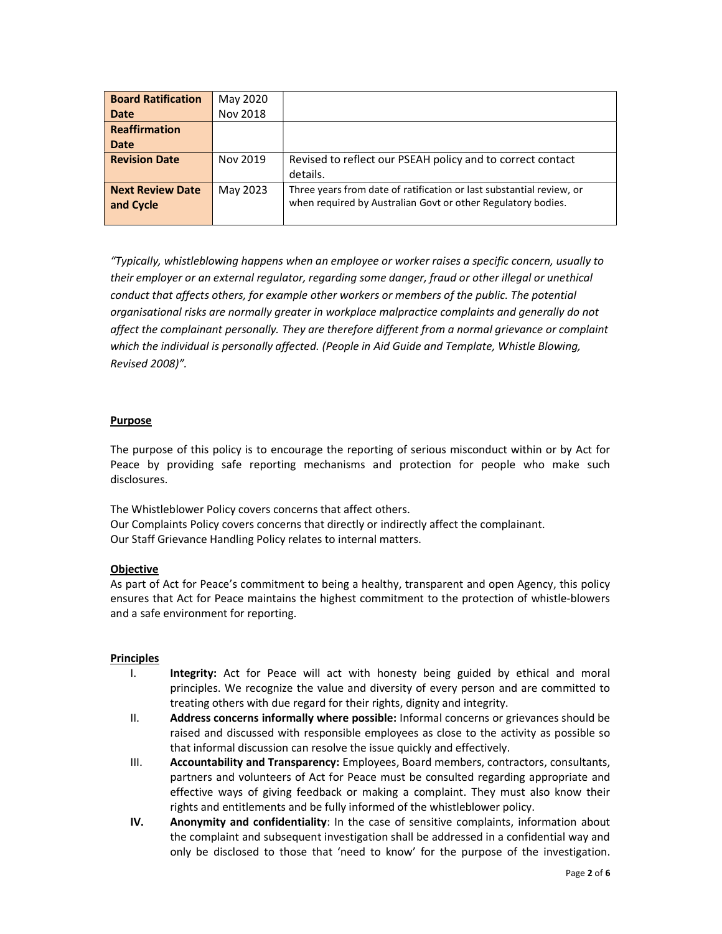| <b>Board Ratification</b> | May 2020 |                                                                      |
|---------------------------|----------|----------------------------------------------------------------------|
| <b>Date</b>               | Nov 2018 |                                                                      |
| <b>Reaffirmation</b>      |          |                                                                      |
| Date                      |          |                                                                      |
| <b>Revision Date</b>      | Nov 2019 | Revised to reflect our PSEAH policy and to correct contact           |
|                           |          | details.                                                             |
| <b>Next Review Date</b>   | May 2023 | Three years from date of ratification or last substantial review, or |
| and Cycle                 |          | when required by Australian Govt or other Regulatory bodies.         |
|                           |          |                                                                      |

"Typically, whistleblowing happens when an employee or worker raises a specific concern, usually to their employer or an external regulator, regarding some danger, fraud or other illegal or unethical conduct that affects others, for example other workers or members of the public. The potential organisational risks are normally greater in workplace malpractice complaints and generally do not affect the complainant personally. They are therefore different from a normal grievance or complaint which the individual is personally affected. (People in Aid Guide and Template, Whistle Blowing, Revised 2008)".

## Purpose

The purpose of this policy is to encourage the reporting of serious misconduct within or by Act for Peace by providing safe reporting mechanisms and protection for people who make such disclosures.

The Whistleblower Policy covers concerns that affect others. Our Complaints Policy covers concerns that directly or indirectly affect the complainant. Our Staff Grievance Handling Policy relates to internal matters.

#### **Objective**

As part of Act for Peace's commitment to being a healthy, transparent and open Agency, this policy ensures that Act for Peace maintains the highest commitment to the protection of whistle-blowers and a safe environment for reporting.

## Principles

- I. Integrity: Act for Peace will act with honesty being guided by ethical and moral principles. We recognize the value and diversity of every person and are committed to treating others with due regard for their rights, dignity and integrity.
- II. Address concerns informally where possible: Informal concerns or grievances should be raised and discussed with responsible employees as close to the activity as possible so that informal discussion can resolve the issue quickly and effectively.
- III. Accountability and Transparency: Employees, Board members, contractors, consultants, partners and volunteers of Act for Peace must be consulted regarding appropriate and effective ways of giving feedback or making a complaint. They must also know their rights and entitlements and be fully informed of the whistleblower policy.
- IV. Anonymity and confidentiality: In the case of sensitive complaints, information about the complaint and subsequent investigation shall be addressed in a confidential way and only be disclosed to those that 'need to know' for the purpose of the investigation.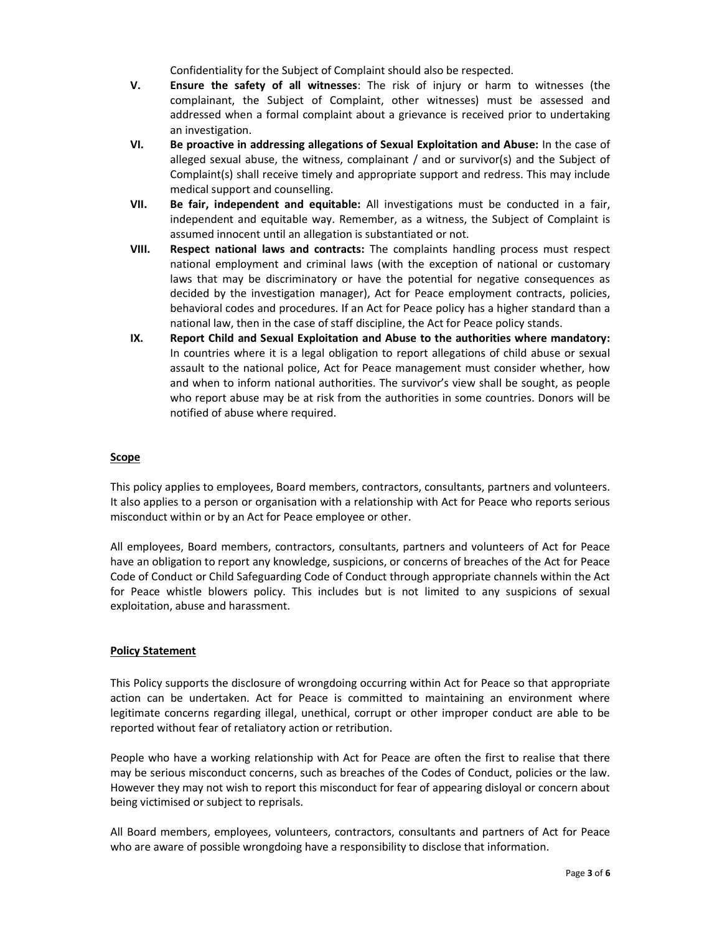Confidentiality for the Subject of Complaint should also be respected.

- V. Ensure the safety of all witnesses: The risk of injury or harm to witnesses (the complainant, the Subject of Complaint, other witnesses) must be assessed and addressed when a formal complaint about a grievance is received prior to undertaking an investigation.
- VI. Be proactive in addressing allegations of Sexual Exploitation and Abuse: In the case of alleged sexual abuse, the witness, complainant  $/$  and or survivor(s) and the Subject of Complaint(s) shall receive timely and appropriate support and redress. This may include medical support and counselling.
- VII. Be fair, independent and equitable: All investigations must be conducted in a fair, independent and equitable way. Remember, as a witness, the Subject of Complaint is assumed innocent until an allegation is substantiated or not.
- VIII. Respect national laws and contracts: The complaints handling process must respect national employment and criminal laws (with the exception of national or customary laws that may be discriminatory or have the potential for negative consequences as decided by the investigation manager), Act for Peace employment contracts, policies, behavioral codes and procedures. If an Act for Peace policy has a higher standard than a national law, then in the case of staff discipline, the Act for Peace policy stands.
- IX. Report Child and Sexual Exploitation and Abuse to the authorities where mandatory: In countries where it is a legal obligation to report allegations of child abuse or sexual assault to the national police, Act for Peace management must consider whether, how and when to inform national authorities. The survivor's view shall be sought, as people who report abuse may be at risk from the authorities in some countries. Donors will be notified of abuse where required.

#### Scope

This policy applies to employees, Board members, contractors, consultants, partners and volunteers. It also applies to a person or organisation with a relationship with Act for Peace who reports serious misconduct within or by an Act for Peace employee or other.

All employees, Board members, contractors, consultants, partners and volunteers of Act for Peace have an obligation to report any knowledge, suspicions, or concerns of breaches of the Act for Peace Code of Conduct or Child Safeguarding Code of Conduct through appropriate channels within the Act for Peace whistle blowers policy. This includes but is not limited to any suspicions of sexual exploitation, abuse and harassment.

#### Policy Statement

This Policy supports the disclosure of wrongdoing occurring within Act for Peace so that appropriate action can be undertaken. Act for Peace is committed to maintaining an environment where legitimate concerns regarding illegal, unethical, corrupt or other improper conduct are able to be reported without fear of retaliatory action or retribution.

People who have a working relationship with Act for Peace are often the first to realise that there may be serious misconduct concerns, such as breaches of the Codes of Conduct, policies or the law. However they may not wish to report this misconduct for fear of appearing disloyal or concern about being victimised or subject to reprisals.

All Board members, employees, volunteers, contractors, consultants and partners of Act for Peace who are aware of possible wrongdoing have a responsibility to disclose that information.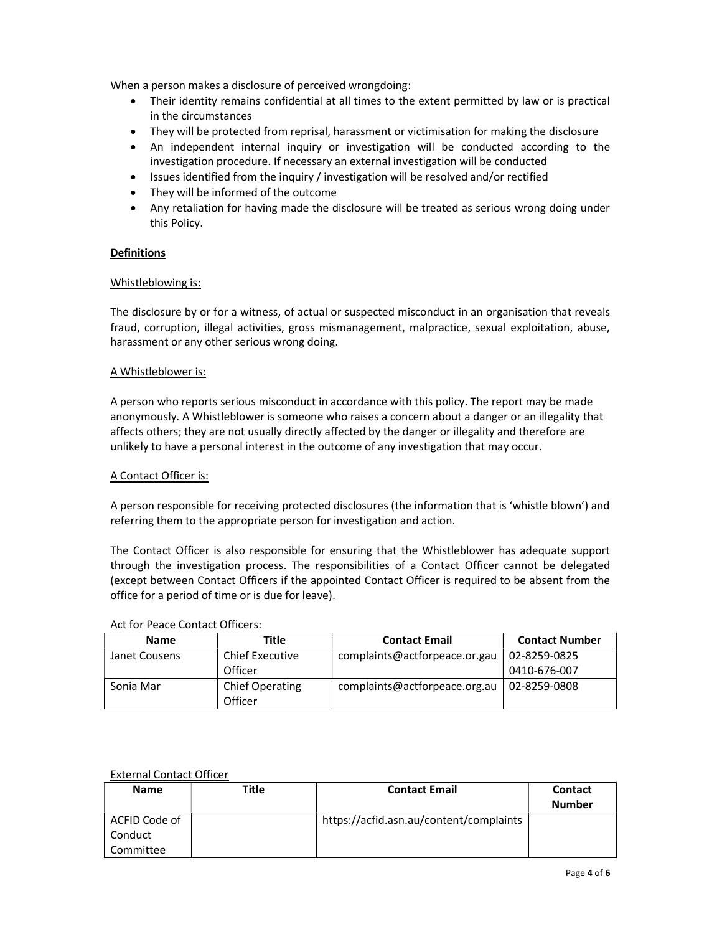When a person makes a disclosure of perceived wrongdoing:

- Their identity remains confidential at all times to the extent permitted by law or is practical in the circumstances
- They will be protected from reprisal, harassment or victimisation for making the disclosure
- An independent internal inquiry or investigation will be conducted according to the investigation procedure. If necessary an external investigation will be conducted
- Issues identified from the inquiry / investigation will be resolved and/or rectified
- They will be informed of the outcome
- Any retaliation for having made the disclosure will be treated as serious wrong doing under this Policy.

## **Definitions**

## Whistleblowing is:

The disclosure by or for a witness, of actual or suspected misconduct in an organisation that reveals fraud, corruption, illegal activities, gross mismanagement, malpractice, sexual exploitation, abuse, harassment or any other serious wrong doing.

#### A Whistleblower is:

A person who reports serious misconduct in accordance with this policy. The report may be made anonymously. A Whistleblower is someone who raises a concern about a danger or an illegality that affects others; they are not usually directly affected by the danger or illegality and therefore are unlikely to have a personal interest in the outcome of any investigation that may occur.

## A Contact Officer is:

A person responsible for receiving protected disclosures (the information that is 'whistle blown') and referring them to the appropriate person for investigation and action.

The Contact Officer is also responsible for ensuring that the Whistleblower has adequate support through the investigation process. The responsibilities of a Contact Officer cannot be delegated (except between Contact Officers if the appointed Contact Officer is required to be absent from the office for a period of time or is due for leave).

| <b>Name</b>   | Title                             | <b>Contact Email</b>          | <b>Contact Number</b> |
|---------------|-----------------------------------|-------------------------------|-----------------------|
| Janet Cousens | <b>Chief Executive</b>            | complaints@actforpeace.or.gau | 02-8259-0825          |
|               | Officer                           |                               | 0410-676-007          |
| Sonia Mar     | <b>Chief Operating</b><br>Officer | complaints@actforpeace.org.au | 02-8259-0808          |

## External Contact Officer

| <b>Name</b>   | Title | <b>Contact Email</b>                    | <b>Contact</b> |
|---------------|-------|-----------------------------------------|----------------|
|               |       |                                         | <b>Number</b>  |
| ACFID Code of |       | https://acfid.asn.au/content/complaints |                |
| Conduct       |       |                                         |                |
| Committee     |       |                                         |                |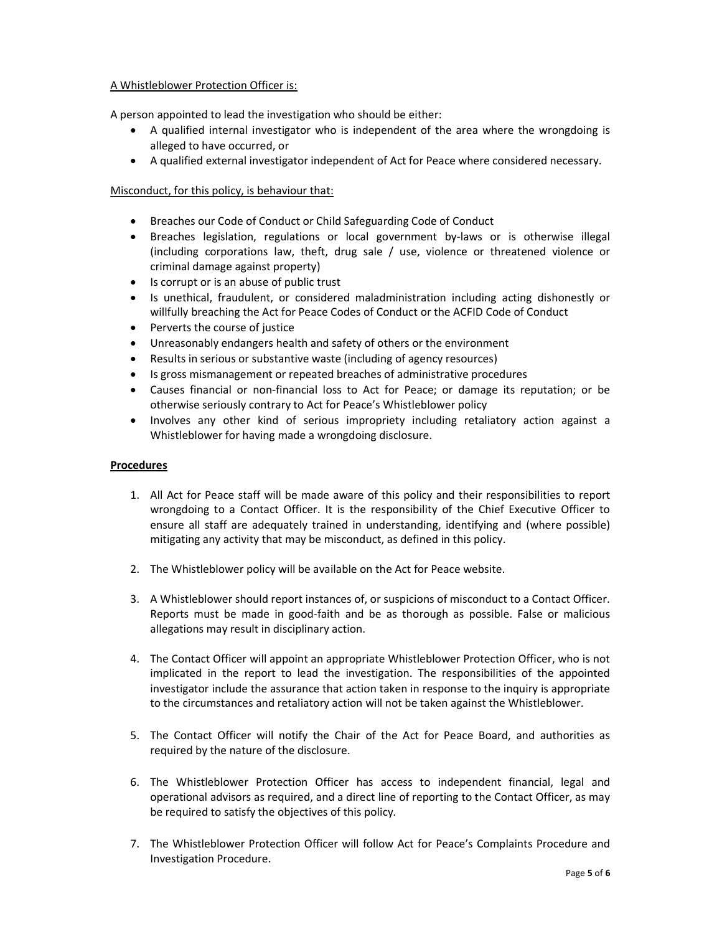## A Whistleblower Protection Officer is:

A person appointed to lead the investigation who should be either:

- A qualified internal investigator who is independent of the area where the wrongdoing is alleged to have occurred, or
- A qualified external investigator independent of Act for Peace where considered necessary.

# Misconduct, for this policy, is behaviour that:

- Breaches our Code of Conduct or Child Safeguarding Code of Conduct
- Breaches legislation, regulations or local government by-laws or is otherwise illegal (including corporations law, theft, drug sale / use, violence or threatened violence or criminal damage against property)
- Is corrupt or is an abuse of public trust
- Is unethical, fraudulent, or considered maladministration including acting dishonestly or willfully breaching the Act for Peace Codes of Conduct or the ACFID Code of Conduct
- Perverts the course of justice
- Unreasonably endangers health and safety of others or the environment
- Results in serious or substantive waste (including of agency resources)
- Is gross mismanagement or repeated breaches of administrative procedures
- Causes financial or non-financial loss to Act for Peace; or damage its reputation; or be otherwise seriously contrary to Act for Peace's Whistleblower policy
- Involves any other kind of serious impropriety including retaliatory action against a Whistleblower for having made a wrongdoing disclosure.

#### Procedures

- 1. All Act for Peace staff will be made aware of this policy and their responsibilities to report wrongdoing to a Contact Officer. It is the responsibility of the Chief Executive Officer to ensure all staff are adequately trained in understanding, identifying and (where possible) mitigating any activity that may be misconduct, as defined in this policy.
- 2. The Whistleblower policy will be available on the Act for Peace website.
- 3. A Whistleblower should report instances of, or suspicions of misconduct to a Contact Officer. Reports must be made in good-faith and be as thorough as possible. False or malicious allegations may result in disciplinary action.
- 4. The Contact Officer will appoint an appropriate Whistleblower Protection Officer, who is not implicated in the report to lead the investigation. The responsibilities of the appointed investigator include the assurance that action taken in response to the inquiry is appropriate to the circumstances and retaliatory action will not be taken against the Whistleblower.
- 5. The Contact Officer will notify the Chair of the Act for Peace Board, and authorities as required by the nature of the disclosure.
- 6. The Whistleblower Protection Officer has access to independent financial, legal and operational advisors as required, and a direct line of reporting to the Contact Officer, as may be required to satisfy the objectives of this policy.
- 7. The Whistleblower Protection Officer will follow Act for Peace's Complaints Procedure and Investigation Procedure.